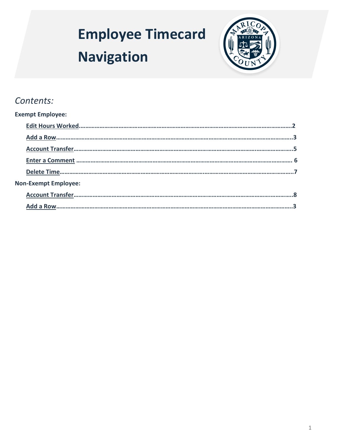# <span id="page-0-0"></span>**Employee Timecard Navigation**



## *Contents:*

| <b>Exempt Employee:</b>     |  |
|-----------------------------|--|
|                             |  |
|                             |  |
|                             |  |
|                             |  |
|                             |  |
| <b>Non-Exempt Employee:</b> |  |
|                             |  |
|                             |  |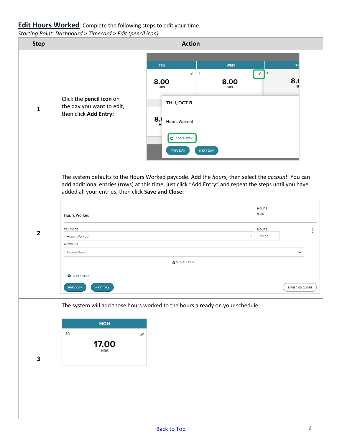#### <span id="page-1-0"></span>**Edit Hours Worked**: Complete the following steps to edit your time.

*Starting Point: Dashboard > Timecard > Edit (pencil icon)* 

| <br><b>Step</b> | . <b>.</b> . <b>.</b><br><b>Action</b>                                                                                                                                                                                                                                                                                                                                                                                                                                                                    |
|-----------------|-----------------------------------------------------------------------------------------------------------------------------------------------------------------------------------------------------------------------------------------------------------------------------------------------------------------------------------------------------------------------------------------------------------------------------------------------------------------------------------------------------------|
| $\mathbf{1}$    | <b>TUE</b><br><b>WED</b><br>TH<br>8<br>$\mathcal{P}^{\pm}$<br>$\overline{7}$<br>o.<br>8(<br>8.00<br>8.00<br><b>HR</b><br><b>HRS</b><br><b>HRS</b><br>Click the pencil icon on<br>THU, OCT 8<br>the day you want to edit,<br>then click Add Entry:<br>8.0<br>Hours Worked<br><b>O</b> ADD ENTRY<br>PREV DAY<br><b>NEXT DAY</b>                                                                                                                                                                             |
| $\overline{2}$  | The system defaults to the Hours Worked paycode. Add the hours, then select the account. You can<br>add additional entries (rows) at this time, just click "Add Entry" and repeat the steps until you have<br>added all your entries, then click Save and Close:<br><b>HOURS</b><br>9.00<br><b>Hours Worked</b><br>HOURS<br>PAY CODE<br>$\checkmark$<br>hh.hh<br>Hours Worked<br>ACCOUNT<br>Please Select<br>$\check{~}$<br>O NEW ACCOUNT<br><b>O</b> ADD ENTRY<br>PREV DAY<br>NEXT DAY<br>SAVE AND CLOSE |
| 3               | The system will add those hours worked to the hours already on your schedule:<br><b>MON</b><br>30<br>ℐ<br>17.00<br><b>HRS</b>                                                                                                                                                                                                                                                                                                                                                                             |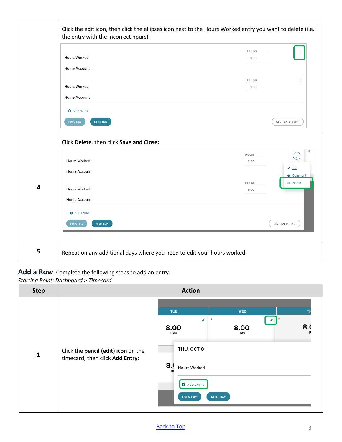<span id="page-2-1"></span>

|   | Click the edit icon, then click the ellipses icon next to the Hours Worked entry you want to delete (i.e.<br>the entry with the incorrect hours): |                                                     |  |
|---|---------------------------------------------------------------------------------------------------------------------------------------------------|-----------------------------------------------------|--|
|   | Hours Worked                                                                                                                                      | <b>HOURS</b><br>8.00                                |  |
|   | Home Account                                                                                                                                      |                                                     |  |
|   | <b>Hours Worked</b>                                                                                                                               | HOURS<br>9.00                                       |  |
|   | Home Account                                                                                                                                      |                                                     |  |
|   | <b>O</b> ADD ENTRY                                                                                                                                |                                                     |  |
|   | <b>PREV DAY</b><br><b>NEXT DAY</b>                                                                                                                | SAVE AND CLOSE                                      |  |
|   | Click Delete, then click Save and Close:                                                                                                          |                                                     |  |
|   | Hours Worked                                                                                                                                      | 11<br><b>HOURS</b><br>$\left(\vdots\right)$<br>8.00 |  |
|   | Home Account                                                                                                                                      | Se Edit<br>Comment                                  |  |
| 4 | <b>Hours Worked</b>                                                                                                                               | <b>自</b> Delete<br><b>HOURS</b><br>9.00             |  |
|   | Home Account                                                                                                                                      |                                                     |  |
|   | <b>O</b> ADD ENTRY                                                                                                                                |                                                     |  |
|   | PREV DAY<br><b>NEXT DAY</b>                                                                                                                       | SAVE AND CLOSE                                      |  |
|   |                                                                                                                                                   |                                                     |  |
| 5 | Repeat on any additional days where you need to edit your hours worked.                                                                           |                                                     |  |

#### <span id="page-2-0"></span>**Add a Row**: Complete the following steps to add an entry.

*Starting Point: Dashboard > Timecard*

| <b>Step</b>  | <b>Action</b>                                                          |                                                                                                                   |  |
|--------------|------------------------------------------------------------------------|-------------------------------------------------------------------------------------------------------------------|--|
|              |                                                                        | <b>TUE</b><br><b>WED</b><br>8<br>$\overline{7}$<br>₽<br>◢<br>8.<br>8.00<br>8.00<br>HR<br><b>HRS</b><br><b>HRS</b> |  |
| $\mathbf{1}$ | Click the pencil (edit) icon on the<br>timecard, then click Add Entry: | THU, OCT 8<br>8.<br>Hours Worked<br>HI<br><b>O</b> ADD ENTRY<br><b>NEXT DAY</b><br>PREV DAY                       |  |

#### [Back to Top](#page-0-0)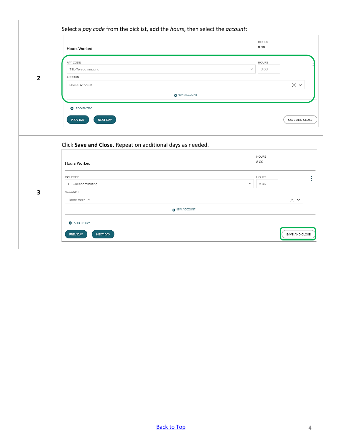| $\overline{2}$          | Hours Worked                                                                      | <b>HOURS</b><br>8.00         |
|-------------------------|-----------------------------------------------------------------------------------|------------------------------|
|                         | PAY CODE                                                                          | <b>HOURS</b>                 |
|                         | TEL-Telecommuting                                                                 | 8.00<br>$\checkmark$         |
|                         | ACCOUNT<br>Home Account                                                           | $\times$ $\backsim$          |
|                         |                                                                                   | O NEW ACCOUNT                |
|                         | <b>O</b> ADD ENTRY                                                                |                              |
|                         |                                                                                   |                              |
|                         |                                                                                   |                              |
|                         | <b>NEXT DAY</b><br>PREV DAY                                                       | SAVE AND CLOSE               |
|                         | Click Save and Close. Repeat on additional days as needed.<br><b>Hours Worked</b> | <b>HOURS</b><br>8.00         |
|                         | PAY CODE                                                                          | <b>HOURS</b><br>$\checkmark$ |
|                         | TEL-Telecommuting<br>ACCOUNT                                                      | 8.00                         |
| $\overline{\mathbf{3}}$ | Home Account                                                                      | $\times$ $\backsim$          |
|                         | O NEW ACCOUNT                                                                     |                              |
|                         | <b>O</b> ADD ENTRY                                                                |                              |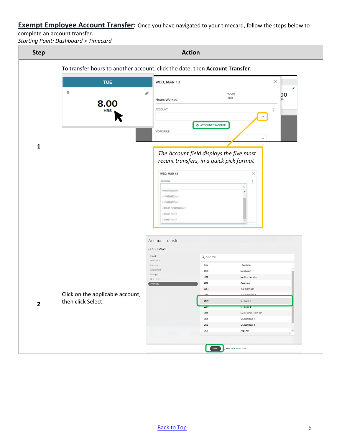<span id="page-4-0"></span>**Exempt Employee Account Transfer:** Once you have navigated to your timecard, follow the steps below to

complete an account transfer.

*Starting Point: Dashboard > Timecard*

| <b>Step</b>  | <b>Action</b>                    |                                                                                                                 |
|--------------|----------------------------------|-----------------------------------------------------------------------------------------------------------------|
|              |                                  | To transfer hours to another account, click the date, then Account Transfer:                                    |
|              | <b>TUE</b>                       | $\times$<br>WED, MAR 13                                                                                         |
|              | 6<br>8.00                        | ℐ<br><b>HOURS</b><br>DO<br>9:00<br><b>Hours Worked</b><br>RS                                                    |
|              | <b>HRS</b>                       | <b>ACCOUNT</b><br>÷<br>$\checkmark$                                                                             |
|              |                                  | <b>O</b> ACCOUNT TRANSFER<br><b>WORK RULE</b><br>$\checkmark$                                                   |
| $\mathbf{1}$ |                                  | The Account field displays the five most<br>recent transfers, in a quick pick format<br>$\times$<br>WED, MAR 13 |
|              |                                  | ACCOUNT<br>Ξ<br>٨<br>Home Account<br>111999952111                                                               |
|              |                                  | 111999917111<br>/ATL01//999949///<br>/ATL01/////<br>/ CINO1 / / / /                                             |
|              |                                  | Account Transfer                                                                                                |
|              |                                  | //////2670<br>Industry<br>Q Search<br>Pay Group                                                                 |
|              |                                  | Location<br>Code<br>Description<br>Department<br>2440<br>Metallurgist                                           |
|              |                                  | Manager<br>2614<br>Machine Operator<br>Reserved                                                                 |
|              |                                  | 2616<br>Assembler<br>Job Code<br>Test Technician I<br>2654                                                      |
|              | Click on the applicable account, |                                                                                                                 |
| $\mathbf{2}$ | then click Select:               | 2670<br>Mechanic I                                                                                              |
|              |                                  | 2680<br>rechanic<br>3134<br>Maintenance Technician                                                              |
|              |                                  | 3154<br>QA Technician I                                                                                         |
|              |                                  | 3156<br>QA Technician II                                                                                        |
|              |                                  | 3162<br>Inspector<br>$\overline{\phantom{a}}$<br>$\,$                                                           |
|              |                                  |                                                                                                                 |
|              |                                  | (sH)<br>O RESTORE HOME ACCOUNT                                                                                  |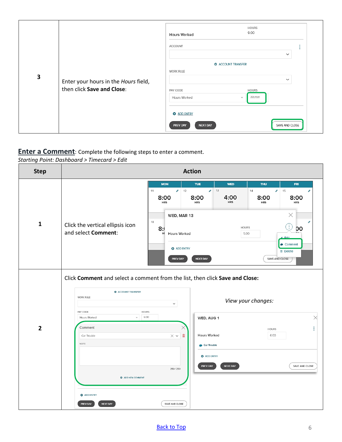|   |                                                                    | <b>HOURS</b><br>9:00<br><b>Hours Worked</b>                                                                                                                                                                      |
|---|--------------------------------------------------------------------|------------------------------------------------------------------------------------------------------------------------------------------------------------------------------------------------------------------|
|   | ACCOUNT<br>$\checkmark$                                            |                                                                                                                                                                                                                  |
| 3 | Enter your hours in the Hours field,<br>then click Save and Close: | <b>Q</b> ACCOUNT TRANSFER<br><b>WORK RULE</b><br>$\checkmark$<br>PAY CODE<br><b>HOURS</b><br>hh:mm<br>Hours Worked<br>$\checkmark$<br><b>O</b> ADD ENTRY<br>SAVE AND CLOSE<br><b>NEXT DAY</b><br><b>PREV DAY</b> |

#### <span id="page-5-0"></span>**Enter a Comment**: Complete the following steps to enter a comment.

*Starting Point: Dashboard > Timecard > Edit* 

| <b>Step</b>             | <b>Action</b>                                                                                                                                                                                                                                                                              |               |
|-------------------------|--------------------------------------------------------------------------------------------------------------------------------------------------------------------------------------------------------------------------------------------------------------------------------------------|---------------|
|                         | <b>MON</b><br><b>TUE</b><br><b>WED</b><br><b>THU</b><br><b>FRI</b><br>$\bigtriangledown$ 13<br>14<br>11<br>$\bigtriangledown$ 12<br>s.<br>15<br>v<br>4:00<br>8:00<br>8:00<br>8:00<br>8:00<br><b>HRS</b><br><b>HRS</b><br><b>HRS</b><br><b>HRS</b><br><b>HRS</b><br>$\times$<br>WED, MAR 13 |               |
| $\mathbf{1}$            | 18<br>Click the vertical ellipsis icon<br>E<br><b>HOURS</b><br>8:<br><b>DO</b><br>and select Comment:<br><b>Hours Worked</b><br>5:00<br>HI<br>$P$ Edit<br>$\bullet$ Comment<br><b>O</b> ADD ENTRY<br><b>音 Delete</b><br><b>PREV DAY</b><br><b>NEXT DAY</b><br>SAVE AND CLOSE               |               |
|                         | Click Comment and select a comment from the list, then click Save and Close:<br><b>O</b> ACCOUNT TRANSFER<br>WORK RULE<br>View your changes:<br>$\check{~}$                                                                                                                                |               |
| $\overline{\mathbf{2}}$ | PAY CODE<br><b>HOURS</b><br>6:00<br>Hours Worked<br>$\checkmark$<br>WED, AUG 1<br>Comment<br>$\times$<br><b>HOURS</b><br>圙<br><b>Hours Worked</b><br>$\times$ $\backsim$<br>6:00<br>Car Trouble<br>NOTE<br>Car Trouble                                                                     | $\times$<br>ŧ |
|                         | <b>O</b> ADD ENTRY<br>PREV DAY<br><b>NEXT DAY</b><br>SAVE AND CLOSE<br>250/250<br><b>Q</b> ADD NEW COMMENT<br><b>Q</b> ADD ENTRY<br><b>PREV DAY</b><br><b>NEXT DAY</b><br>SAVE AND CLOSE                                                                                                   |               |

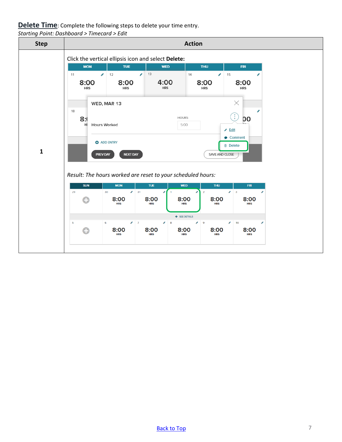### <span id="page-6-0"></span>**Delete Time**: Complete the following steps to delete your time entry.

*Starting Point: Dashboard > Timecard > Edit*

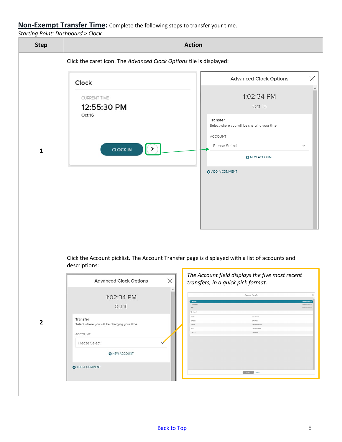#### <span id="page-7-0"></span>**Non-Exempt Transfer Time:** Complete the following steps to transfer your time.

*Starting Point: Dashboard > Clock*

| <i>Starting Fornt. Dashboard -</i> Clock<br><b>Step</b> | <b>Action</b>                                                                                                                                                                                                                                                                                                                                                                                                                                                                                                                                                                                                                                                      |  |  |
|---------------------------------------------------------|--------------------------------------------------------------------------------------------------------------------------------------------------------------------------------------------------------------------------------------------------------------------------------------------------------------------------------------------------------------------------------------------------------------------------------------------------------------------------------------------------------------------------------------------------------------------------------------------------------------------------------------------------------------------|--|--|
|                                                         | Click the caret icon. The Advanced Clock Options tile is displayed:                                                                                                                                                                                                                                                                                                                                                                                                                                                                                                                                                                                                |  |  |
| $\mathbf{1}$                                            | ×<br><b>Advanced Clock Options</b><br>Clock<br>1:02:34 PM<br><b>CURRENT TIME</b><br>12:55:30 PM<br>Oct 16<br>Oct 16<br>Transfer<br>Select where you will be charging your time<br>ACCOUNT<br>Please Select<br>$\checkmark$<br>$\rightarrow$<br><b>CLOCK IN</b><br><b>O</b> NEW ACCOUNT<br><b>O</b> ADD A COMMENT                                                                                                                                                                                                                                                                                                                                                   |  |  |
| $\mathbf{2}$                                            | Click the Account picklist. The Account Transfer page is displayed with a list of accounts and<br>descriptions:<br>The Account field displays the five most recent<br>X<br><b>Advanced Clock Options</b><br>transfers, in a quick pick format.<br>▲<br><b>Account Transfer</b><br>$\times$<br>1:02:34 PM<br>Locatic<br>Oct 16<br>Job:<br>-Please Select-<br>Q Search<br>$\mathsf{Code}$<br>Description<br>Transfer<br>CA002<br>CA Water<br>Select where you will be charging your time<br>HIOO1<br>CA Water Hawait<br>1,001<br>Chicago Office<br>OH001<br>Cleveland<br>ACCOUNT<br>Please Select<br><b>O</b> NEW ACCOUNT<br><b>O</b> ADD A COMMENT<br>SELECT DESCRI |  |  |